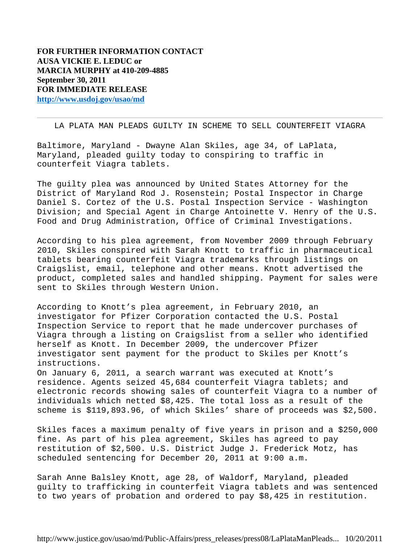## LA PLATA MAN PLEADS GUILTY IN SCHEME TO SELL COUNTERFEIT VIAGRA

Baltimore, Maryland - Dwayne Alan Skiles, age 34, of LaPlata, Maryland, pleaded guilty today to conspiring to traffic in counterfeit Viagra tablets.

The guilty plea was announced by United States Attorney for the District of Maryland Rod J. Rosenstein; Postal Inspector in Charge Daniel S. Cortez of the U.S. Postal Inspection Service - Washington Division; and Special Agent in Charge Antoinette V. Henry of the U.S. Food and Drug Administration, Office of Criminal Investigations.

According to his plea agreement, from November 2009 through February 2010, Skiles conspired with Sarah Knott to traffic in pharmaceutical tablets bearing counterfeit Viagra trademarks through listings on Craigslist, email, telephone and other means. Knott advertised the product, completed sales and handled shipping. Payment for sales were sent to Skiles through Western Union.

According to Knott's plea agreement, in February 2010, an investigator for Pfizer Corporation contacted the U.S. Postal Inspection Service to report that he made undercover purchases of Viagra through a listing on Craigslist from a seller who identified herself as Knott. In December 2009, the undercover Pfizer investigator sent payment for the product to Skiles per Knott's instructions.

On January 6, 2011, a search warrant was executed at Knott's residence. Agents seized 45,684 counterfeit Viagra tablets; and electronic records showing sales of counterfeit Viagra to a number of individuals which netted \$8,425. The total loss as a result of the scheme is \$119,893.96, of which Skiles' share of proceeds was \$2,500.

Skiles faces a maximum penalty of five years in prison and a \$250,000 fine. As part of his plea agreement, Skiles has agreed to pay restitution of \$2,500. U.S. District Judge J. Frederick Motz, has scheduled sentencing for December 20, 2011 at 9:00 a.m.

Sarah Anne Balsley Knott, age 28, of Waldorf, Maryland, pleaded guilty to trafficking in counterfeit Viagra tablets and was sentenced to two years of probation and ordered to pay \$8,425 in restitution.